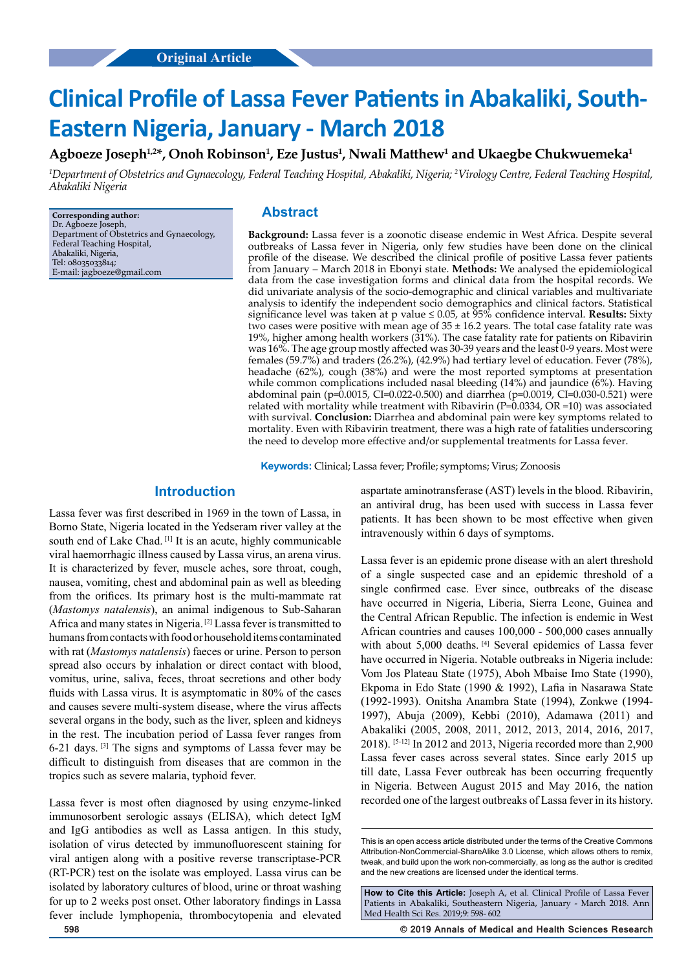# **Clinical Profile of Lassa Fever Patients in Abakaliki, South-Eastern Nigeria, January - March 2018**

 $\mathbf{A}$ gboeze Joseph $^{1,2*}$ , Onoh Robinson $^1$ , Eze Justus $^1$ , Nwali Matthew $^1$  and Ukaegbe Chukwuemeka $^1$ 

*1 Department of Obstetrics and Gynaecology, Federal Teaching Hospital, Abakaliki, Nigeria; 2 Virology Centre, Federal Teaching Hospital, Abakaliki Nigeria*

**Corresponding author:** Dr. Agboeze Joseph, Department of Obstetrics and Gynaecology, Federal Teaching Hospital, Abakaliki, Nigeria, Tel: 08035033814; E-mail: jagboeze@gmail.com

## **Abstract**

**Background:** Lassa fever is a zoonotic disease endemic in West Africa. Despite several outbreaks of Lassa fever in Nigeria, only few studies have been done on the clinical profile of the disease. We described the clinical profile of positive Lassa fever patients from January – March 2018 in Ebonyi state. **Methods:** We analysed the epidemiological data from the case investigation forms and clinical data from the hospital records. We did univariate analysis of the socio-demographic and clinical variables and multivariate analysis to identify the independent socio demographics and clinical factors. Statistical significance level was taken at p value ≤ 0.05, at 95% confidence interval. **Results:** Sixty two cases were positive with mean age of  $35 \pm 16.2$  years. The total case fatality rate was 19%, higher among health workers (31%). The case fatality rate for patients on Ribavirin was 16%. The age group mostly affected was 30-39 years and the least 0-9 years. Most were females (59.7%) and traders (26.2%), (42.9%) had tertiary level of education. Fever (78%), headache (62%), cough (38%) and were the most reported symptoms at presentation while common complications included nasal bleeding (14%) and jaundice (6%). Having abdominal pain (p=0.0015, CI=0.022-0.500) and diarrhea (p=0.0019, CI=0.030-0.521) were related with mortality while treatment with Ribavirin (P=0.0334, OR =10) was associated with survival. **Conclusion:** Diarrhea and abdominal pain were key symptoms related to mortality. Even with Ribavirin treatment, there was a high rate of fatalities underscoring the need to develop more effective and/or supplemental treatments for Lassa fever.

**Keywords:** Clinical; Lassa fever; Profile; symptoms; Virus; Zonoosis

## **Introduction**

Lassa fever was first described in 1969 in the town of Lassa, in Borno State, Nigeria located in the Yedseram river valley at the south end of Lake Chad.<sup>[1]</sup> It is an acute, highly communicable viral haemorrhagic illness caused by Lassa virus, an arena virus. It is characterized by fever, muscle aches, sore throat, cough, nausea, vomiting, chest and abdominal pain as well as bleeding from the orifices. Its primary host is the multi-mammate rat (*Mastomys natalensis*), an animal indigenous to Sub-Saharan Africa and many states in Nigeria. [2] Lassa fever is transmitted to humans from contacts with food or household items contaminated with rat (*Mastomys natalensis*) faeces or urine. Person to person spread also occurs by inhalation or direct contact with blood, vomitus, urine, saliva, feces, throat secretions and other body fluids with Lassa virus. It is asymptomatic in 80% of the cases and causes severe multi-system disease, where the virus affects several organs in the body, such as the liver, spleen and kidneys in the rest. The incubation period of Lassa fever ranges from 6-21 days. [3] The signs and symptoms of Lassa fever may be difficult to distinguish from diseases that are common in the tropics such as severe malaria, typhoid fever.

Lassa fever is most often diagnosed by using enzyme-linked immunosorbent serologic assays (ELISA), which detect IgM and IgG antibodies as well as Lassa antigen. In this study, isolation of virus detected by immunofluorescent staining for viral antigen along with a positive reverse transcriptase-PCR (RT-PCR) test on the isolate was employed. Lassa virus can be isolated by laboratory cultures of blood, urine or throat washing for up to 2 weeks post onset. Other laboratory findings in Lassa fever include lymphopenia, thrombocytopenia and elevated

aspartate aminotransferase (AST) levels in the blood. Ribavirin, an antiviral drug, has been used with success in Lassa fever patients. It has been shown to be most effective when given intravenously within 6 days of symptoms.

Lassa fever is an epidemic prone disease with an alert threshold of a single suspected case and an epidemic threshold of a single confirmed case. Ever since, outbreaks of the disease have occurred in Nigeria, Liberia, Sierra Leone, Guinea and the Central African Republic. The infection is endemic in West African countries and causes 100,000 - 500,000 cases annually with about 5,000 deaths. [4] Several epidemics of Lassa fever have occurred in Nigeria. Notable outbreaks in Nigeria include: Vom Jos Plateau State (1975), Aboh Mbaise Imo State (1990), Ekpoma in Edo State (1990 & 1992), Lafia in Nasarawa State (1992-1993). Onitsha Anambra State (1994), Zonkwe (1994- 1997), Abuja (2009), Kebbi (2010), Adamawa (2011) and Abakaliki (2005, 2008, 2011, 2012, 2013, 2014, 2016, 2017, 2018). [5-12] In 2012 and 2013, Nigeria recorded more than 2,900 Lassa fever cases across several states. Since early 2015 up till date, Lassa Fever outbreak has been occurring frequently in Nigeria. Between August 2015 and May 2016, the nation recorded one of the largest outbreaks of Lassa fever in its history.

**598 © 2019 Annals of Medical and Health Sciences Research** 

This is an open access article distributed under the terms of the Creative Commons Attribution‑NonCommercial‑ShareAlike 3.0 License, which allows others to remix, tweak, and build upon the work non‑commercially, as long as the author is credited and the new creations are licensed under the identical terms.

**How to Cite this Article:** Joseph A, et al. Clinical Profile of Lassa Fever Patients in Abakaliki, Southeastern Nigeria, January - March 2018. Ann Med Health Sci Res. 2019;9: 598- 602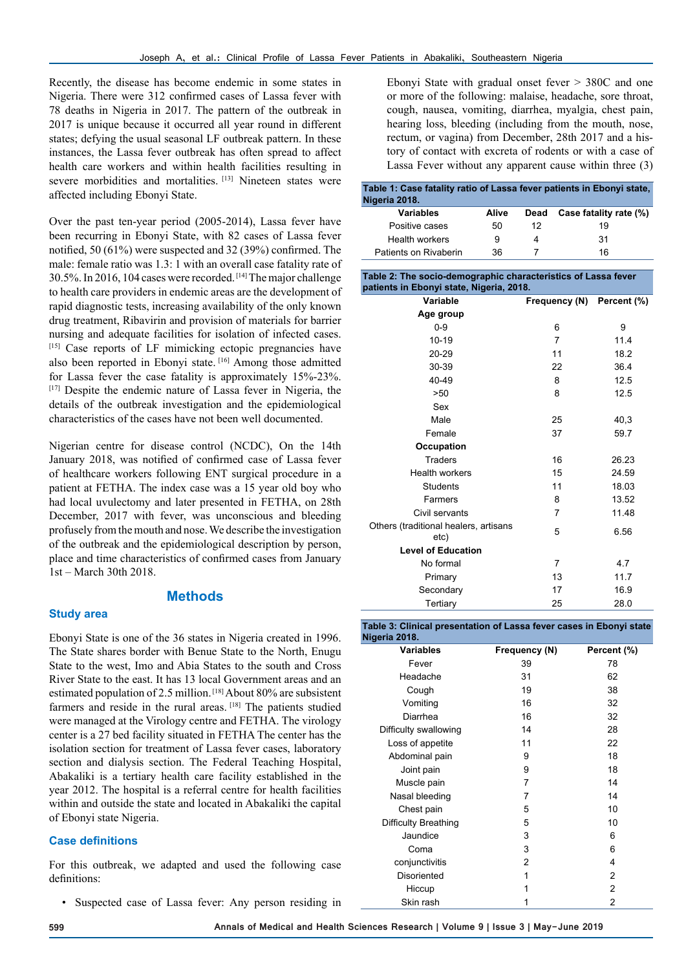Recently, the disease has become endemic in some states in Nigeria. There were 312 confirmed cases of Lassa fever with 78 deaths in Nigeria in 2017. The pattern of the outbreak in 2017 is unique because it occurred all year round in different states; defying the usual seasonal LF outbreak pattern. In these instances, the Lassa fever outbreak has often spread to affect health care workers and within health facilities resulting in severe morbidities and mortalities. [13] Nineteen states were affected including Ebonyi State.

Over the past ten-year period (2005-2014), Lassa fever have been recurring in Ebonyi State, with 82 cases of Lassa fever notified, 50 (61%) were suspected and 32 (39%) confirmed. The male: female ratio was 1.3: 1 with an overall case fatality rate of 30.5%. In 2016, 104 cases were recorded. [14] The major challenge to health care providers in endemic areas are the development of rapid diagnostic tests, increasing availability of the only known drug treatment, Ribavirin and provision of materials for barrier nursing and adequate facilities for isolation of infected cases. [15] Case reports of LF mimicking ectopic pregnancies have also been reported in Ebonyi state. [16] Among those admitted for Lassa fever the case fatality is approximately 15%-23%. [17] Despite the endemic nature of Lassa fever in Nigeria, the details of the outbreak investigation and the epidemiological characteristics of the cases have not been well documented.

Nigerian centre for disease control (NCDC), On the 14th January 2018, was notified of confirmed case of Lassa fever of healthcare workers following ENT surgical procedure in a patient at FETHA. The index case was a 15 year old boy who had local uvulectomy and later presented in FETHA, on 28th December, 2017 with fever, was unconscious and bleeding profusely from the mouth and nose. We describe the investigation of the outbreak and the epidemiological description by person, place and time characteristics of confirmed cases from January 1st – March 30th 2018.

## **Methods**

#### **Study area**

Ebonyi State is one of the 36 states in Nigeria created in 1996. The State shares border with Benue State to the North, Enugu State to the west, Imo and Abia States to the south and Cross River State to the east. It has 13 local Government areas and an estimated population of 2.5 million. [18] About 80% are subsistent farmers and reside in the rural areas. [18] The patients studied were managed at the Virology centre and FETHA. The virology center is a 27 bed facility situated in FETHA The center has the isolation section for treatment of Lassa fever cases, laboratory section and dialysis section. The Federal Teaching Hospital, Abakaliki is a tertiary health care facility established in the year 2012. The hospital is a referral centre for health facilities within and outside the state and located in Abakaliki the capital of Ebonyi state Nigeria.

## **Case definitions**

For this outbreak, we adapted and used the following case definitions:

Suspected case of Lassa fever: Any person residing in

Ebonyi State with gradual onset fever > 380C and one or more of the following: malaise, headache, sore throat, cough, nausea, vomiting, diarrhea, myalgia, chest pain, hearing loss, bleeding (including from the mouth, nose, rectum, or vagina) from December, 28th 2017 and a history of contact with excreta of rodents or with a case of Lassa Fever without any apparent cause within three (3)

| Table 1: Case fatality ratio of Lassa fever patients in Ebonyi state,<br>Nigeria 2018. |       |      |                        |  |  |  |
|----------------------------------------------------------------------------------------|-------|------|------------------------|--|--|--|
| Variables                                                                              | Alive | Dead | Case fatality rate (%) |  |  |  |
| Positive cases                                                                         | 50    | 12   | 19                     |  |  |  |
| Health workers                                                                         | 9     | 4    | 31                     |  |  |  |
| Patients on Rivaberin                                                                  | 36    |      | 16                     |  |  |  |

#### **Table 2: The socio-demographic characteristics of Lassa fever patients in Ebonyi state, Nigeria, 2018.**

| Variable                                      | Frequency (N) Percent (%) |       |  |
|-----------------------------------------------|---------------------------|-------|--|
| Age group                                     |                           |       |  |
| $0 - 9$                                       | 6                         | 9     |  |
| $10-19$                                       | 7                         | 11.4  |  |
| 20-29                                         | 11                        | 18.2  |  |
| 30-39                                         | 22                        | 36.4  |  |
| 40-49                                         | 8                         | 12.5  |  |
| >50                                           | 8                         | 12.5  |  |
| Sex                                           |                           |       |  |
| Male                                          | 25                        | 40,3  |  |
| Female                                        | 37                        | 59.7  |  |
| Occupation                                    |                           |       |  |
| <b>Traders</b>                                | 16                        | 26.23 |  |
| <b>Health workers</b>                         | 15                        | 24.59 |  |
| <b>Students</b>                               | 11                        | 18.03 |  |
| Farmers                                       | 8                         | 13.52 |  |
| Civil servants                                | 7                         | 11.48 |  |
| Others (traditional healers, artisans<br>etc) | 5                         | 6.56  |  |
| <b>Level of Education</b>                     |                           |       |  |
| No formal                                     | 7                         | 4.7   |  |
| Primary                                       | 13                        | 11.7  |  |
| Secondary                                     | 17                        | 16.9  |  |
| Tertiary                                      | 25                        | 28.0  |  |

**Table 3: Clinical presentation of Lassa fever cases in Ebonyi state Nigeria 2018.**

| <b>Variables</b>      | Frequency (N) | Percent (%)    |
|-----------------------|---------------|----------------|
| Fever                 | 39            | 78             |
| Headache              | 31            | 62             |
| Cough                 | 19            | 38             |
| Vomiting              | 16            | 32             |
| Diarrhea              | 16            | 32             |
| Difficulty swallowing | 14            | 28             |
| Loss of appetite      | 11            | 22             |
| Abdominal pain        | 9             | 18             |
| Joint pain            | 9             | 18             |
| Muscle pain           | 7             | 14             |
| Nasal bleeding        | 7             | 14             |
| Chest pain            | 5             | 10             |
| Difficulty Breathing  | 5             | 10             |
| Jaundice              | 3             | 6              |
| Coma                  | 3             | 6              |
| conjunctivitis        | 2             | 4              |
| Disoriented           | 1             | $\overline{2}$ |
| Hiccup                | 1             | $\overline{2}$ |
| Skin rash             | 1             | 2              |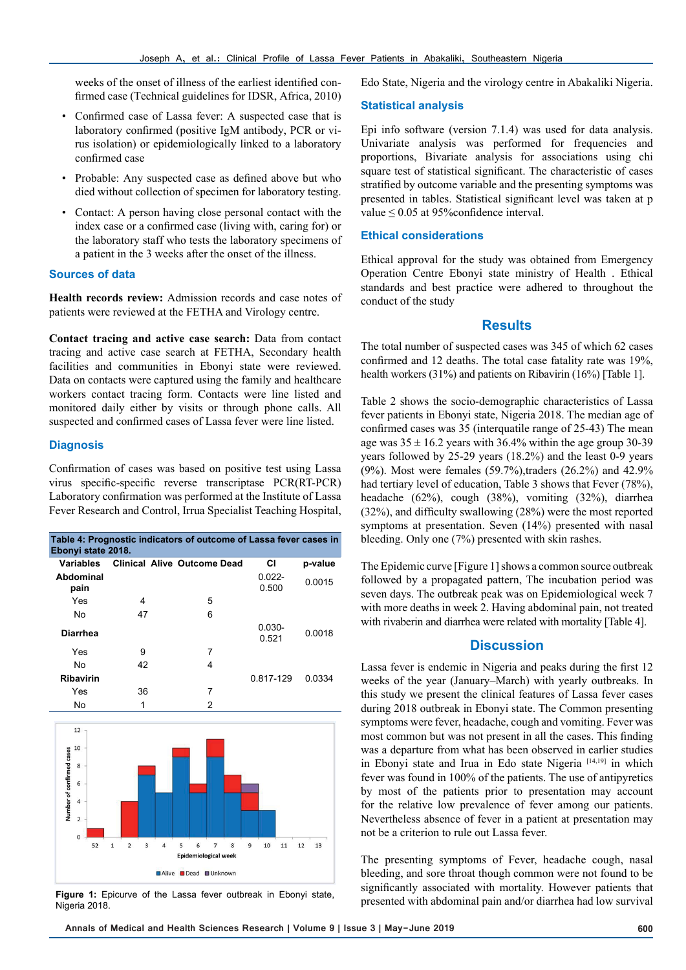weeks of the onset of illness of the earliest identified confirmed case (Technical guidelines for IDSR, Africa, 2010)

- Confirmed case of Lassa fever: A suspected case that is laboratory confirmed (positive IgM antibody, PCR or virus isolation) or epidemiologically linked to a laboratory confirmed case
- Probable: Any suspected case as defined above but who died without collection of specimen for laboratory testing.
- Contact: A person having close personal contact with the index case or a confirmed case (living with, caring for) or the laboratory staff who tests the laboratory specimens of a patient in the 3 weeks after the onset of the illness.

#### **Sources of data**

**Health records review:** Admission records and case notes of patients were reviewed at the FETHA and Virology centre.

**Contact tracing and active case search:** Data from contact tracing and active case search at FETHA, Secondary health facilities and communities in Ebonyi state were reviewed. Data on contacts were captured using the family and healthcare workers contact tracing form. Contacts were line listed and monitored daily either by visits or through phone calls. All suspected and confirmed cases of Lassa fever were line listed.

#### **Diagnosis**

Confirmation of cases was based on positive test using Lassa virus specific-specific reverse transcriptase PCR(RT-PCR) Laboratory confirmation was performed at the Institute of Lassa Fever Research and Control, Irrua Specialist Teaching Hospital,

| Table 4: Prognostic indicators of outcome of Lassa fever cases in<br>Ebonyi state 2018. |    |                                    |                    |         |  |  |  |
|-----------------------------------------------------------------------------------------|----|------------------------------------|--------------------|---------|--|--|--|
| Variables                                                                               |    | <b>Clinical Alive Outcome Dead</b> | СI                 | p-value |  |  |  |
| Abdominal<br>pain                                                                       |    |                                    | $0.022 -$<br>0.500 | 0.0015  |  |  |  |
| Yes                                                                                     | 4  | 5                                  |                    |         |  |  |  |
| No                                                                                      | 47 | 6                                  |                    |         |  |  |  |
| <b>Diarrhea</b>                                                                         |    |                                    | $0.030 -$<br>0.521 | 0.0018  |  |  |  |
| Yes                                                                                     | 9  | 7                                  |                    |         |  |  |  |
| No                                                                                      | 42 | 4                                  |                    |         |  |  |  |
| Ribavirin                                                                               |    |                                    | 0.817-129          | 0.0334  |  |  |  |
| Yes                                                                                     | 36 | 7                                  |                    |         |  |  |  |
| No                                                                                      | 1  | 2                                  |                    |         |  |  |  |
|                                                                                         |    |                                    |                    |         |  |  |  |



**Figure 1:** Epicurve of the Lassa fever outbreak in Ebonyi state, Nigeria 2018.

Edo State, Nigeria and the virology centre in Abakaliki Nigeria.

#### **Statistical analysis**

Epi info software (version 7.1.4) was used for data analysis. Univariate analysis was performed for frequencies and proportions, Bivariate analysis for associations using chi square test of statistical significant. The characteristic of cases stratified by outcome variable and the presenting symptoms was presented in tables. Statistical significant level was taken at p value ≤ 0.05 at 95%confidence interval.

### **Ethical considerations**

Ethical approval for the study was obtained from Emergency Operation Centre Ebonyi state ministry of Health . Ethical standards and best practice were adhered to throughout the conduct of the study

#### **Results**

The total number of suspected cases was 345 of which 62 cases confirmed and 12 deaths. The total case fatality rate was 19%, health workers (31%) and patients on Ribavirin (16%) [Table 1].

Table 2 shows the socio-demographic characteristics of Lassa fever patients in Ebonyi state, Nigeria 2018. The median age of confirmed cases was 35 (interquatile range of 25-43) The mean age was  $35 \pm 16.2$  years with 36.4% within the age group 30-39 years followed by 25-29 years (18.2%) and the least 0-9 years (9%). Most were females (59.7%),traders (26.2%) and 42.9% had tertiary level of education, Table 3 shows that Fever (78%), headache (62%), cough (38%), vomiting (32%), diarrhea (32%), and difficulty swallowing (28%) were the most reported symptoms at presentation. Seven (14%) presented with nasal bleeding. Only one (7%) presented with skin rashes.

The Epidemic curve [Figure 1] shows a common source outbreak followed by a propagated pattern, The incubation period was seven days. The outbreak peak was on Epidemiological week 7 with more deaths in week 2. Having abdominal pain, not treated with rivaberin and diarrhea were related with mortality [Table 4].

#### **Discussion**

Lassa fever is endemic in Nigeria and peaks during the first 12 weeks of the year (January–March) with yearly outbreaks. In this study we present the clinical features of Lassa fever cases during 2018 outbreak in Ebonyi state. The Common presenting symptoms were fever, headache, cough and vomiting. Fever was most common but was not present in all the cases. This finding was a departure from what has been observed in earlier studies in Ebonyi state and Irua in Edo state Nigeria [14,19] in which fever was found in 100% of the patients. The use of antipyretics by most of the patients prior to presentation may account for the relative low prevalence of fever among our patients. Nevertheless absence of fever in a patient at presentation may not be a criterion to rule out Lassa fever.

The presenting symptoms of Fever, headache cough, nasal bleeding, and sore throat though common were not found to be significantly associated with mortality. However patients that presented with abdominal pain and/or diarrhea had low survival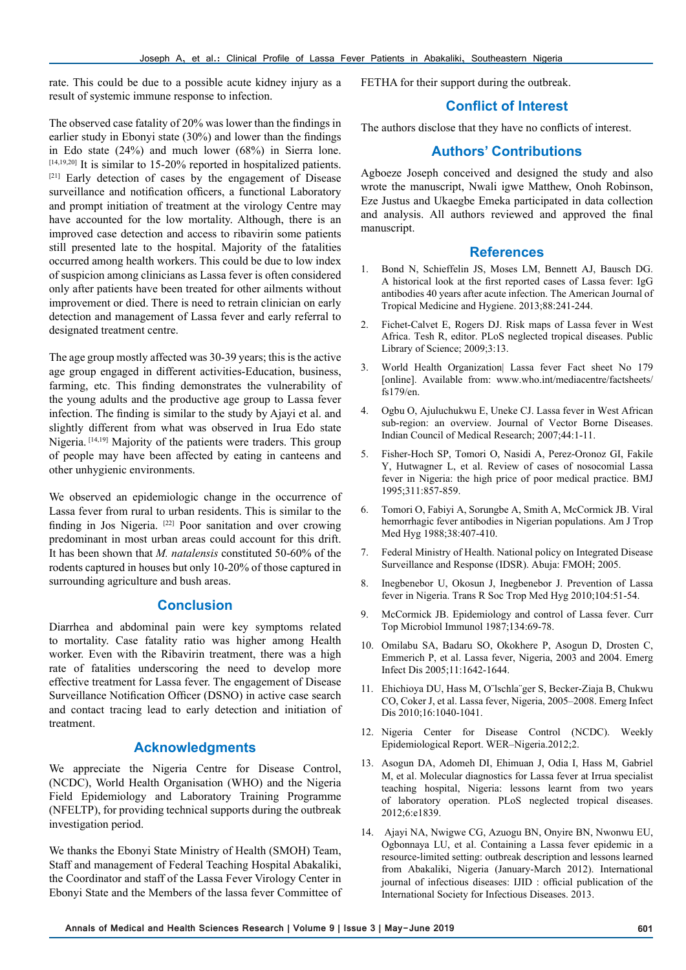rate. This could be due to a possible acute kidney injury as a result of systemic immune response to infection.

The observed case fatality of 20% was lower than the findings in earlier study in Ebonyi state (30%) and lower than the findings in Edo state (24%) and much lower (68%) in Sierra lone. [14,19,20] It is similar to 15-20% reported in hospitalized patients. [21] Early detection of cases by the engagement of Disease surveillance and notification officers, a functional Laboratory and prompt initiation of treatment at the virology Centre may have accounted for the low mortality. Although, there is an improved case detection and access to ribavirin some patients still presented late to the hospital. Majority of the fatalities occurred among health workers. This could be due to low index of suspicion among clinicians as Lassa fever is often considered only after patients have been treated for other ailments without improvement or died. There is need to retrain clinician on early detection and management of Lassa fever and early referral to designated treatment centre.

The age group mostly affected was 30-39 years; this is the active age group engaged in different activities-Education, business, farming, etc. This finding demonstrates the vulnerability of the young adults and the productive age group to Lassa fever infection. The finding is similar to the study by Ajayi et al. and slightly different from what was observed in Irua Edo state Nigeria. [14,19] Majority of the patients were traders. This group of people may have been affected by eating in canteens and other unhygienic environments.

We observed an epidemiologic change in the occurrence of Lassa fever from rural to urban residents. This is similar to the finding in Jos Nigeria. [22] Poor sanitation and over crowing predominant in most urban areas could account for this drift. It has been shown that *M. natalensis* constituted 50-60% of the rodents captured in houses but only 10-20% of those captured in surrounding agriculture and bush areas.

# **Conclusion**

Diarrhea and abdominal pain were key symptoms related to mortality. Case fatality ratio was higher among Health worker. Even with the Ribavirin treatment, there was a high rate of fatalities underscoring the need to develop more effective treatment for Lassa fever. The engagement of Disease Surveillance Notification Officer (DSNO) in active case search and contact tracing lead to early detection and initiation of treatment.

# **Acknowledgments**

We appreciate the Nigeria Centre for Disease Control, (NCDC), World Health Organisation (WHO) and the Nigeria Field Epidemiology and Laboratory Training Programme (NFELTP), for providing technical supports during the outbreak investigation period.

We thanks the Ebonyi State Ministry of Health (SMOH) Team, Staff and management of Federal Teaching Hospital Abakaliki, the Coordinator and staff of the Lassa Fever Virology Center in Ebonyi State and the Members of the lassa fever Committee of FETHA for their support during the outbreak.

# **Conflict of Interest**

The authors disclose that they have no conflicts of interest.

# **Authors' Contributions**

Agboeze Joseph conceived and designed the study and also wrote the manuscript, Nwali igwe Matthew, Onoh Robinson, Eze Justus and Ukaegbe Emeka participated in data collection and analysis. All authors reviewed and approved the final manuscript.

## **References**

- 1. Bond N, Schieffelin JS, Moses LM, Bennett AJ, Bausch DG. A historical look at the first reported cases of Lassa fever: IgG antibodies 40 years after acute infection. The American Journal of Tropical Medicine and Hygiene. 2013;88:241-244.
- 2. Fichet-Calvet E, Rogers DJ. Risk maps of Lassa fever in West Africa. Tesh R, editor. PLoS neglected tropical diseases. Public Library of Science; 2009;3:13.
- 3. World Health Organization| Lassa fever Fact sheet No 179 [online]. Available from: www.who.int/mediacentre/factsheets/ fs179/en.
- 4. Ogbu O, Ajuluchukwu E, Uneke CJ. Lassa fever in West African sub-region: an overview. Journal of Vector Borne Diseases. Indian Council of Medical Research; 2007;44:1-11.
- 5. Fisher-Hoch SP, Tomori O, Nasidi A, Perez-Oronoz GI, Fakile Y, Hutwagner L, et al. Review of cases of nosocomial Lassa fever in Nigeria: the high price of poor medical practice. BMJ 1995;311:857-859.
- 6. Tomori O, Fabiyi A, Sorungbe A, Smith A, McCormick JB. Viral hemorrhagic fever antibodies in Nigerian populations. Am J Trop Med Hyg 1988;38:407-410.
- 7. Federal Ministry of Health. National policy on Integrated Disease Surveillance and Response (IDSR). Abuja: FMOH; 2005.
- 8. Inegbenebor U, Okosun J, Inegbenebor J. Prevention of Lassa fever in Nigeria. Trans R Soc Trop Med Hyg 2010;104:51-54.
- 9. McCormick JB. Epidemiology and control of Lassa fever. Curr Top Microbiol Immunol 1987;134:69-78.
- 10. Omilabu SA, Badaru SO, Okokhere P, Asogun D, Drosten C, Emmerich P, et al. Lassa fever, Nigeria, 2003 and 2004. Emerg Infect Dis 2005;11:1642-1644.
- 11. Ehichioya DU, Hass M, O¨lschla¨ger S, Becker-Ziaja B, Chukwu CO, Coker J, et al. Lassa fever, Nigeria, 2005–2008. Emerg Infect Dis 2010;16:1040-1041.
- 12. Nigeria Center for Disease Control (NCDC). Weekly Epidemiological Report. WER–Nigeria.2012;2.
- 13. Asogun DA, Adomeh DI, Ehimuan J, Odia I, Hass M, Gabriel M, et al. Molecular diagnostics for Lassa fever at Irrua specialist teaching hospital, Nigeria: lessons learnt from two years of laboratory operation. PLoS neglected tropical diseases. 2012;6:e1839.
- 14. Ajayi NA, Nwigwe CG, Azuogu BN, Onyire BN, Nwonwu EU, Ogbonnaya LU, et al. Containing a Lassa fever epidemic in a resource-limited setting: outbreak description and lessons learned from Abakaliki, Nigeria (January-March 2012). International journal of infectious diseases: IJID : official publication of the International Society for Infectious Diseases. 2013.